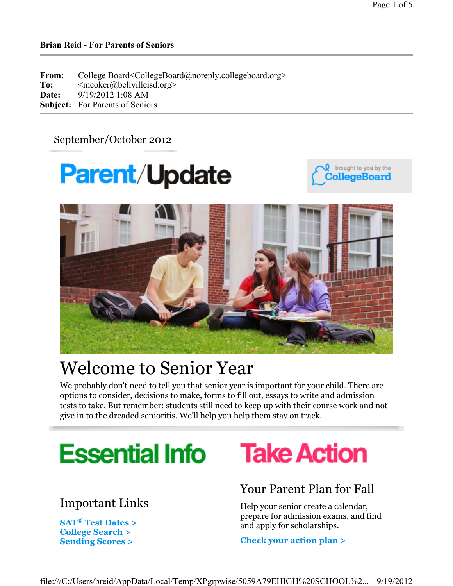## September/October 2012

# **Parent/Update**





# Welcome to Senior Year

We probably don't need to tell you that senior year is important for your child. There are options to consider, decisions to make, forms to fill out, essays to write and admission tests to take. But remember: students still need to keep up with their course work and not give in to the dreaded senioritis. We'll help you help them stay on track.



## Important Links

**SAT® Test Dates > College Search > Sending Scores >**

# **Take Action**

## Your Parent Plan for Fall

Help your senior create a calendar, prepare for admission exams, and find and apply for scholarships.

**Check your action plan >**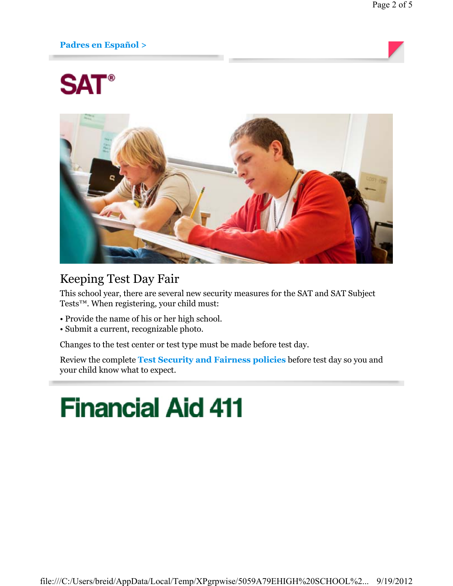## **Padres en Español >**

# **SAT®**



## Keeping Test Day Fair

This school year, there are several new security measures for the SAT and SAT Subject Tests™. When registering, your child must:

- Provide the name of his or her high school.
- Submit a current, recognizable photo.

Changes to the test center or test type must be made before test day.

Review the complete **Test Security and Fairness policies** before test day so you and your child know what to expect.

# **Financial Aid 411**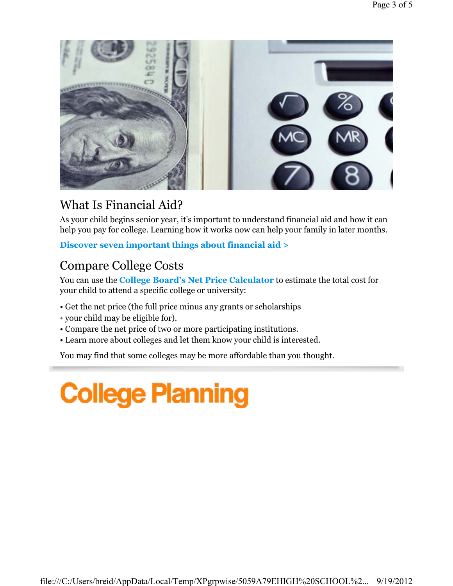

# What Is Financial Aid?

As your child begins senior year, it's important to understand financial aid and how it can help you pay for college. Learning how it works now can help your family in later months.

**Discover seven important things about financial aid >**

# Compare College Costs

You can use the **College Board's Net Price Calculator** to estimate the total cost for your child to attend a specific college or university:

- Get the net price (the full price minus any grants or scholarships
- your child may be eligible for).
- Compare the net price of two or more participating institutions.
- Learn more about colleges and let them know your child is interested.

You may find that some colleges may be more affordable than you thought.

# **College Planning**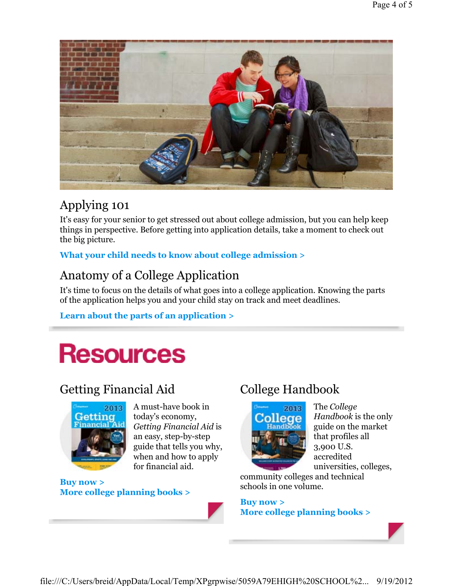

# Applying 101

It's easy for your senior to get stressed out about college admission, but you can help keep things in perspective. Before getting into application details, take a moment to check out the big picture.

**What your child needs to know about college admission >**

## Anatomy of a College Application

It's time to focus on the details of what goes into a college application. Knowing the parts of the application helps you and your child stay on track and meet deadlines.

## **Learn about the parts of an application >**

# **Resources**

## Getting Financial Aid



A must-have book in today's economy, *Getting Financial Aid* is an easy, step-by-step guide that tells you why, when and how to apply for financial aid.

**Buy now > More college planning books >**

## College Handbook



The *College Handbook* is the only guide on the market that profiles all 3,900 U.S. accredited universities, colleges,

community colleges and technical schools in one volume.

**Buy now > More college planning books >**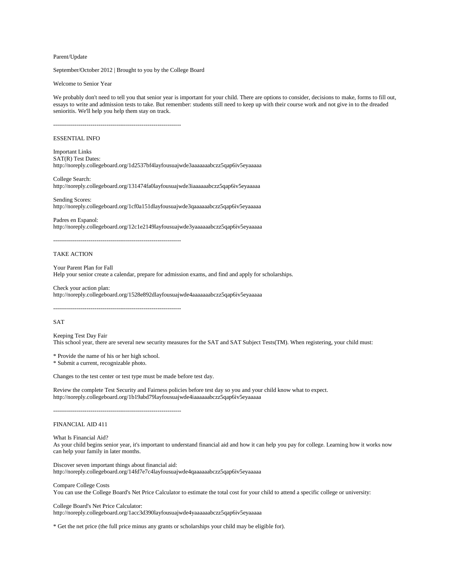Parent/Update

September/October 2012 | Brought to you by the College Board

#### Welcome to Senior Year

We probably don't need to tell you that senior year is important for your child. There are options to consider, decisions to make, forms to fill out, essays to write and admission tests to take. But remember: students still need to keep up with their course work and not give in to the dreaded senioritis. We'll help you help them stay on track.

-----------------------------------------------------------------

### ESSENTIAL INFO

Important Links SAT(R) Test Dates: http://noreply.collegeboard.org/1d2537bf4layfousuajwde3aaaaaaabczz5qap6iv5eyaaaaa

College Search: http://noreply.collegeboard.org/131474fa0layfousuajwde3iaaaaaabczz5qap6iv5eyaaaaa

Sending Scores: http://noreply.collegeboard.org/1cf0a151dlayfousuajwde3qaaaaaabczz5qap6iv5eyaaaaa

Padres en Espanol: http://noreply.collegeboard.org/12c1e2149layfousuajwde3yaaaaaabczz5qap6iv5eyaaaaa

-----------------------------------------------------------------

### TAKE ACTION

Your Parent Plan for Fall Help your senior create a calendar, prepare for admission exams, and find and apply for scholarships.

Check your action plan: http://noreply.collegeboard.org/1528e892dlayfousuajwde4aaaaaaabczz5qap6iv5eyaaaaa

-----------------------------------------------------------------

### SAT

Keeping Test Day Fair This school year, there are several new security measures for the SAT and SAT Subject Tests(TM). When registering, your child must:

\* Provide the name of his or her high school.

\* Submit a current, recognizable photo.

Changes to the test center or test type must be made before test day.

Review the complete Test Security and Fairness policies before test day so you and your child know what to expect. http://noreply.collegeboard.org/1b19abd79layfousuajwde4iaaaaaabczz5qap6iv5eyaaaaa

-----------------------------------------------------------------

### FINANCIAL AID 411

What Is Financial Aid?

As your child begins senior year, it's important to understand financial aid and how it can help you pay for college. Learning how it works now can help your family in later months.

Discover seven important things about financial aid: http://noreply.collegeboard.org/14fd7e7c4layfousuajwde4qaaaaaabczz5qap6iv5eyaaaaa

Compare College Costs You can use the College Board's Net Price Calculator to estimate the total cost for your child to attend a specific college or university:

College Board's Net Price Calculator: http://noreply.collegeboard.org/1acc3d390layfousuajwde4yaaaaaabczz5qap6iv5eyaaaaa

\* Get the net price (the full price minus any grants or scholarships your child may be eligible for).